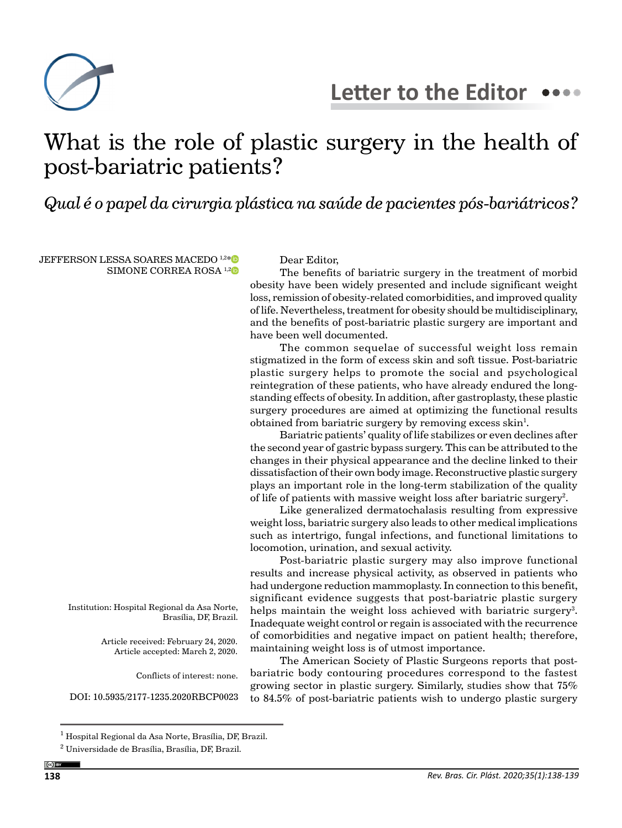

# What is the role of plastic surgery in the health of post-bariatric patients?

*Qual é o papel da cirurgia plástica na saúde de pacientes pós-bariátricos?*

JEFFERSON LESSA SOARES MACEDO<sup>1,2[\\*](https://orcid.org/0000-0002-6113-2336)</sup> SIMONE CORREA ROSA<sup>1,[2](https://orcid.org/0000-0001-5317-2234)</sup>

## Dear Editor,

The benefits of bariatric surgery in the treatment of morbid obesity have been widely presented and include significant weight loss, remission of obesity-related comorbidities, and improved quality of life. Nevertheless, treatment for obesity should be multidisciplinary, and the benefits of post-bariatric plastic surgery are important and have been well documented.

The common sequelae of successful weight loss remain stigmatized in the form of excess skin and soft tissue. Post-bariatric plastic surgery helps to promote the social and psychological reintegration of these patients, who have already endured the longstanding effects of obesity. In addition, after gastroplasty, these plastic surgery procedures are aimed at optimizing the functional results obtained from bariatric surgery by removing excess skin<sup>1</sup>.

Bariatric patients' quality of life stabilizes or even declines after the second year of gastric bypass surgery. This can be attributed to the changes in their physical appearance and the decline linked to their dissatisfaction of their own body image. Reconstructive plastic surgery plays an important role in the long-term stabilization of the quality of life of patients with massive weight loss after bariatric surgery<sup>2</sup>.

Like generalized dermatochalasis resulting from expressive weight loss, bariatric surgery also leads to other medical implications such as intertrigo, fungal infections, and functional limitations to locomotion, urination, and sexual activity.

Post-bariatric plastic surgery may also improve functional results and increase physical activity, as observed in patients who had undergone reduction mammoplasty. In connection to this benefit, significant evidence suggests that post-bariatric plastic surgery helps maintain the weight loss achieved with bariatric surgery<sup>3</sup>. Inadequate weight control or regain is associated with the recurrence of comorbidities and negative impact on patient health; therefore, maintaining weight loss is of utmost importance.

The American Society of Plastic Surgeons reports that postbariatric body contouring procedures correspond to the fastest growing sector in plastic surgery. Similarly, studies show that 75% to 84.5% of post-bariatric patients wish to undergo plastic surgery

Institution: Hospital Regional da Asa Norte, Brasília, DF, Brazil.

> Article received: February 24, 2020. Article accepted: March 2, 2020.

> > Conflicts of interest: none.

DOI: 10.5935/2177-1235.2020RBCP0023

<sup>&</sup>lt;sup>1</sup> Hospital Regional da Asa Norte, Brasília, DF, Brazil.

<sup>2</sup> Universidade de Brasília, Brasília, DF, Brazil.